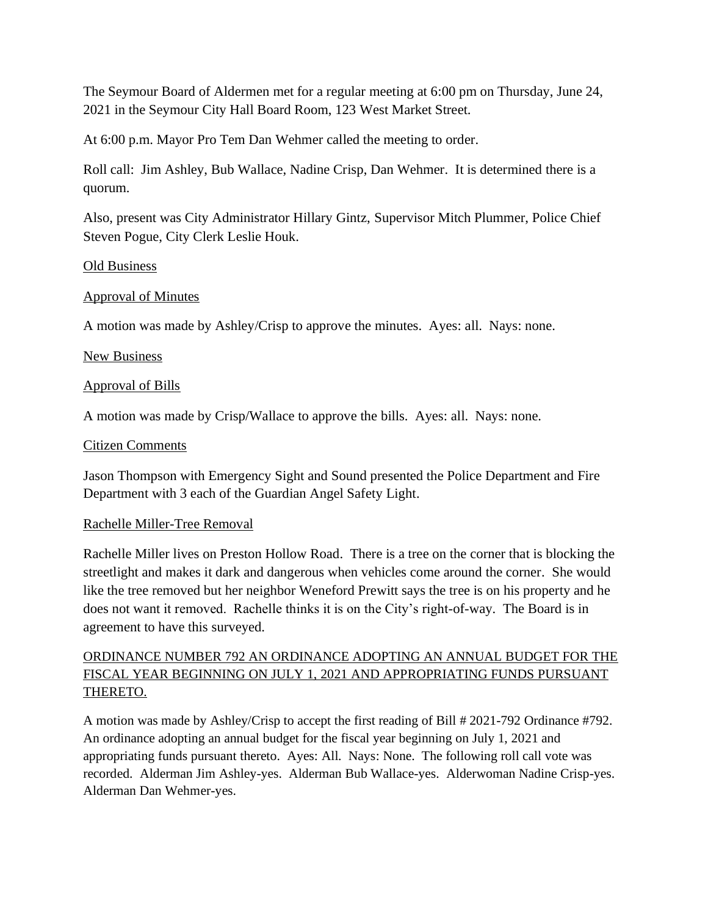The Seymour Board of Aldermen met for a regular meeting at 6:00 pm on Thursday, June 24, 2021 in the Seymour City Hall Board Room, 123 West Market Street.

At 6:00 p.m. Mayor Pro Tem Dan Wehmer called the meeting to order.

Roll call: Jim Ashley, Bub Wallace, Nadine Crisp, Dan Wehmer. It is determined there is a quorum.

Also, present was City Administrator Hillary Gintz, Supervisor Mitch Plummer, Police Chief Steven Pogue, City Clerk Leslie Houk.

#### Old Business

### Approval of Minutes

A motion was made by Ashley/Crisp to approve the minutes. Ayes: all. Nays: none.

### New Business

### Approval of Bills

A motion was made by Crisp/Wallace to approve the bills. Ayes: all. Nays: none.

#### Citizen Comments

Jason Thompson with Emergency Sight and Sound presented the Police Department and Fire Department with 3 each of the Guardian Angel Safety Light.

#### Rachelle Miller-Tree Removal

Rachelle Miller lives on Preston Hollow Road. There is a tree on the corner that is blocking the streetlight and makes it dark and dangerous when vehicles come around the corner. She would like the tree removed but her neighbor Weneford Prewitt says the tree is on his property and he does not want it removed. Rachelle thinks it is on the City's right-of-way. The Board is in agreement to have this surveyed.

# ORDINANCE NUMBER 792 AN ORDINANCE ADOPTING AN ANNUAL BUDGET FOR THE FISCAL YEAR BEGINNING ON JULY 1, 2021 AND APPROPRIATING FUNDS PURSUANT THERETO.

A motion was made by Ashley/Crisp to accept the first reading of Bill # 2021-792 Ordinance #792. An ordinance adopting an annual budget for the fiscal year beginning on July 1, 2021 and appropriating funds pursuant thereto. Ayes: All. Nays: None. The following roll call vote was recorded. Alderman Jim Ashley-yes. Alderman Bub Wallace-yes. Alderwoman Nadine Crisp-yes. Alderman Dan Wehmer-yes.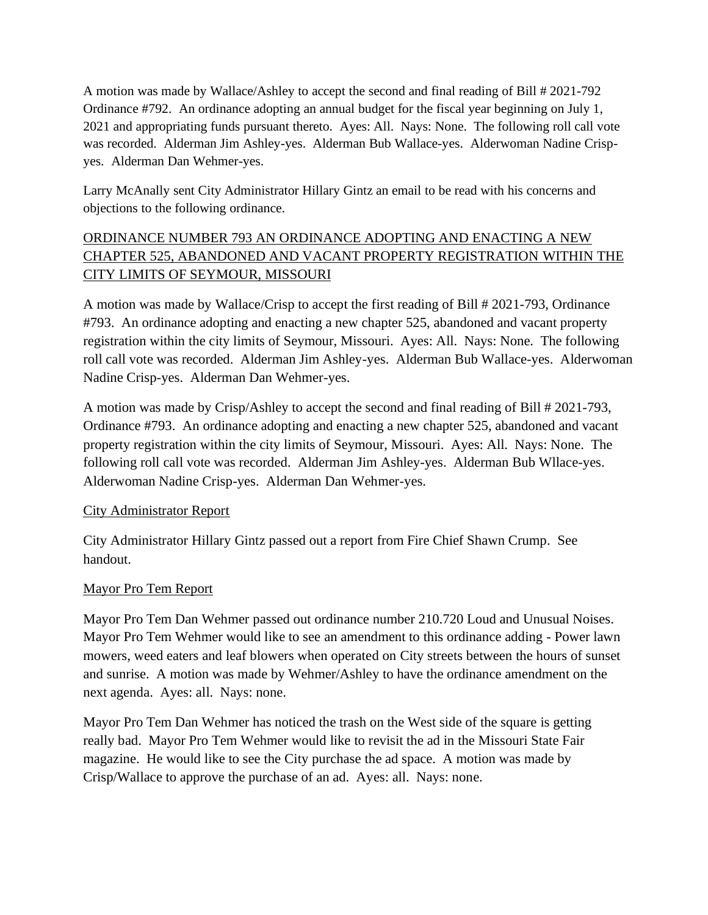A motion was made by Wallace/Ashley to accept the second and final reading of Bill # 2021-792 Ordinance #792. An ordinance adopting an annual budget for the fiscal year beginning on July 1, 2021 and appropriating funds pursuant thereto. Ayes: All. Nays: None. The following roll call vote was recorded. Alderman Jim Ashley-yes. Alderman Bub Wallace-yes. Alderwoman Nadine Crispyes. Alderman Dan Wehmer-yes.

Larry McAnally sent City Administrator Hillary Gintz an email to be read with his concerns and objections to the following ordinance.

# ORDINANCE NUMBER 793 AN ORDINANCE ADOPTING AND ENACTING A NEW CHAPTER 525, ABANDONED AND VACANT PROPERTY REGISTRATION WITHIN THE CITY LIMITS OF SEYMOUR, MISSOURI

A motion was made by Wallace/Crisp to accept the first reading of Bill # 2021-793, Ordinance #793. An ordinance adopting and enacting a new chapter 525, abandoned and vacant property registration within the city limits of Seymour, Missouri. Ayes: All. Nays: None. The following roll call vote was recorded. Alderman Jim Ashley-yes. Alderman Bub Wallace-yes. Alderwoman Nadine Crisp-yes. Alderman Dan Wehmer-yes.

A motion was made by Crisp/Ashley to accept the second and final reading of Bill # 2021-793, Ordinance #793. An ordinance adopting and enacting a new chapter 525, abandoned and vacant property registration within the city limits of Seymour, Missouri. Ayes: All. Nays: None. The following roll call vote was recorded. Alderman Jim Ashley-yes. Alderman Bub Wllace-yes. Alderwoman Nadine Crisp-yes. Alderman Dan Wehmer-yes.

### City Administrator Report

City Administrator Hillary Gintz passed out a report from Fire Chief Shawn Crump. See handout.

# Mayor Pro Tem Report

Mayor Pro Tem Dan Wehmer passed out ordinance number 210.720 Loud and Unusual Noises. Mayor Pro Tem Wehmer would like to see an amendment to this ordinance adding - Power lawn mowers, weed eaters and leaf blowers when operated on City streets between the hours of sunset and sunrise. A motion was made by Wehmer/Ashley to have the ordinance amendment on the next agenda. Ayes: all. Nays: none.

Mayor Pro Tem Dan Wehmer has noticed the trash on the West side of the square is getting really bad. Mayor Pro Tem Wehmer would like to revisit the ad in the Missouri State Fair magazine. He would like to see the City purchase the ad space. A motion was made by Crisp/Wallace to approve the purchase of an ad. Ayes: all. Nays: none.